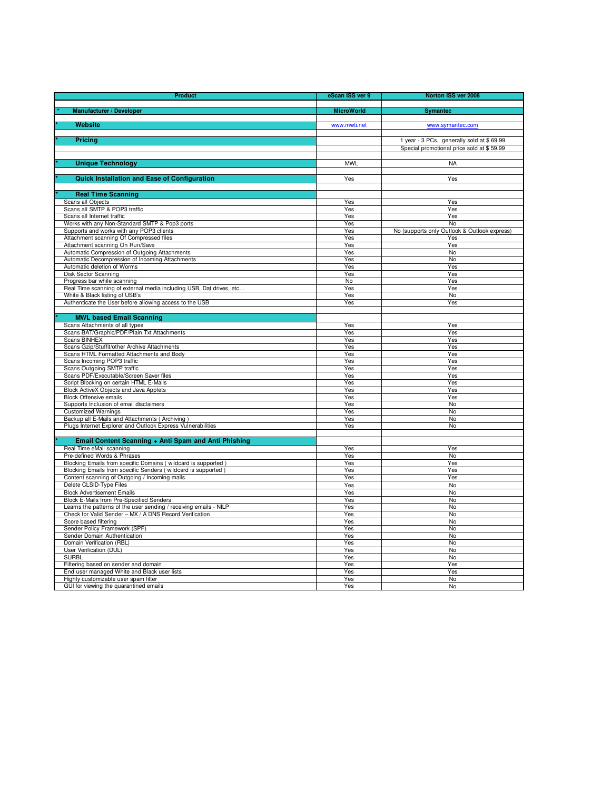| <b>Manufacturer / Developer</b><br><b>MicroWorld</b><br><b>Symantec</b><br><b>Website</b><br>www.symantec.com<br>www.mwti.net<br>Pricing<br>1 year - 3 PCs, generally sold at \$69.99<br>Special promotional price sold at \$59.99<br><b>Unique Technology</b><br><b>MWL</b><br><b>NA</b><br><b>Quick Installation and Ease of Configuration</b><br>Yes<br>Yes<br><b>Real Time Scanning</b><br>Scans all Objects<br>Yes<br>Yes<br>Scans all SMTP & POP3 traffic<br>$\overline{Y}$ es<br>Yes<br>Scans all Internet traffic<br>Yes<br>Yes<br>Works with any Non-Standard SMTP & Pop3 ports<br>Yes<br>No<br>Supports and works with any POP3 clients<br>No (supports only Outlook & Outlook express)<br>Yes<br>Attachment scanning Of Compressed files<br>Yes<br>Yes<br>Attachment scanning On Run/Save<br>Yes<br>Yes<br>Automatic Compression of Outgoing Attachments<br>Yes<br>No<br>Automatic Decompression of Incoming Attachments<br>No<br>Yes<br>Automatic deletion of Worms<br>Yes<br>Yes<br>Disk Sector Scanning<br>Yes<br>Yes<br>Progress bar while scanning<br>No<br>Yes<br>Real Time scanning of external media including USB, Dat drives, etc<br>Yes<br>Yes<br>White & Black listing of USB's<br>Yes<br>No<br>Authenticate the User before allowing access to the USB<br>Yes<br>Yes<br><b>MWL based Email Scanning</b><br>Scans Attachments of all types<br>Yes<br>Yes<br>Scans BAT/Graphic/PDF/Plain Txt Attachments<br>Yes<br>Yes<br><b>Scans BINHEX</b><br>Yes<br>Yes<br>Scans Gzip/Stuffit/other Archive Attachments<br>Yes<br>Yes<br>Scans HTML Formatted Attachments and Body<br>Yes<br>Yes<br>Scans Incoming POP3 traffic<br>Yes<br>Yes<br>Scans Outgoing SMTP traffic<br>Yes<br>Yes<br>Scans PDF/Executable/Screen Saver files<br>Yes<br>Yes<br>Script Blocking on certain HTML E-Mails<br>Yes<br>Yes<br>Block ActiveX Objects and Java Applets<br>Yes<br>Yes<br><b>Block Offensive emails</b><br>Yes<br>Yes<br>Supports Inclusion of email disclaimers<br>Yes<br>No<br><b>Customized Warnings</b><br>Yes<br>No<br>Backup all E-Mails and Attachments (Archiving)<br>Yes<br>No<br>Plugs Internet Explorer and Outlook Express Vulnerabilities<br>Yes<br>No<br>Email Content Scanning + Anti Spam and Anti Phishing<br>Real Time eMail scanning<br>Yes<br>Yes<br>Pre-defined Words & Phrases<br>Yes<br>No<br>Blocking Emails from specific Domains (wildcard is supported)<br>Yes<br>Yes<br>Blocking Emails from specific Senders (wildcard is supported)<br>Yes<br>Yes<br>Content scanning of Outgoing / Incoming mails<br>Yes<br>Yes<br>Delete CLSID-Type Files<br>Yes<br>No<br><b>Block Advertisement Emails</b><br>Yes<br>No<br>Block E-Mails from Pre-Specified Senders<br><b>No</b><br>Yes<br>Learns the patterns of the user sending / receiving emails - NILP<br>No<br>Yes<br>Check for Valid Sender - MX / A DNS Record Verification<br>No<br>Yes<br>Score based filtering<br>Yes<br><b>No</b><br>Sender Policy Framework (SPF)<br>Yes<br>No<br>Sender Domain Authentication<br>Yes<br>No<br>Domain Verification (RBL)<br>Yes<br>No<br>User Verification (DUL)<br>No<br>Yes<br><b>SURBL</b><br>No<br>Yes<br>Filtering based on sender and domain<br>Yes<br>Yes<br>End user managed White and Black user lists<br>Yes<br>Yes<br>Highly customizable user spam filter<br>Yes<br>No<br>GUI for viewing the quarantined emails<br>Yes<br>No | <b>Product</b> | eScan ISS ver 9 | Norton ISS ver 2008 |
|------------------------------------------------------------------------------------------------------------------------------------------------------------------------------------------------------------------------------------------------------------------------------------------------------------------------------------------------------------------------------------------------------------------------------------------------------------------------------------------------------------------------------------------------------------------------------------------------------------------------------------------------------------------------------------------------------------------------------------------------------------------------------------------------------------------------------------------------------------------------------------------------------------------------------------------------------------------------------------------------------------------------------------------------------------------------------------------------------------------------------------------------------------------------------------------------------------------------------------------------------------------------------------------------------------------------------------------------------------------------------------------------------------------------------------------------------------------------------------------------------------------------------------------------------------------------------------------------------------------------------------------------------------------------------------------------------------------------------------------------------------------------------------------------------------------------------------------------------------------------------------------------------------------------------------------------------------------------------------------------------------------------------------------------------------------------------------------------------------------------------------------------------------------------------------------------------------------------------------------------------------------------------------------------------------------------------------------------------------------------------------------------------------------------------------------------------------------------------------------------------------------------------------------------------------------------------------------------------------------------------------------------------------------------------------------------------------------------------------------------------------------------------------------------------------------------------------------------------------------------------------------------------------------------------------------------------------------------------------------------------------------------------------------------------------------------------------------------------------------------------------------------------------------------------------------------------------------------------------------------------------------------------------------------------------------------------------------------------------------|----------------|-----------------|---------------------|
|                                                                                                                                                                                                                                                                                                                                                                                                                                                                                                                                                                                                                                                                                                                                                                                                                                                                                                                                                                                                                                                                                                                                                                                                                                                                                                                                                                                                                                                                                                                                                                                                                                                                                                                                                                                                                                                                                                                                                                                                                                                                                                                                                                                                                                                                                                                                                                                                                                                                                                                                                                                                                                                                                                                                                                                                                                                                                                                                                                                                                                                                                                                                                                                                                                                                                                                                                                  |                |                 |                     |
|                                                                                                                                                                                                                                                                                                                                                                                                                                                                                                                                                                                                                                                                                                                                                                                                                                                                                                                                                                                                                                                                                                                                                                                                                                                                                                                                                                                                                                                                                                                                                                                                                                                                                                                                                                                                                                                                                                                                                                                                                                                                                                                                                                                                                                                                                                                                                                                                                                                                                                                                                                                                                                                                                                                                                                                                                                                                                                                                                                                                                                                                                                                                                                                                                                                                                                                                                                  |                |                 |                     |
|                                                                                                                                                                                                                                                                                                                                                                                                                                                                                                                                                                                                                                                                                                                                                                                                                                                                                                                                                                                                                                                                                                                                                                                                                                                                                                                                                                                                                                                                                                                                                                                                                                                                                                                                                                                                                                                                                                                                                                                                                                                                                                                                                                                                                                                                                                                                                                                                                                                                                                                                                                                                                                                                                                                                                                                                                                                                                                                                                                                                                                                                                                                                                                                                                                                                                                                                                                  |                |                 |                     |
|                                                                                                                                                                                                                                                                                                                                                                                                                                                                                                                                                                                                                                                                                                                                                                                                                                                                                                                                                                                                                                                                                                                                                                                                                                                                                                                                                                                                                                                                                                                                                                                                                                                                                                                                                                                                                                                                                                                                                                                                                                                                                                                                                                                                                                                                                                                                                                                                                                                                                                                                                                                                                                                                                                                                                                                                                                                                                                                                                                                                                                                                                                                                                                                                                                                                                                                                                                  |                |                 |                     |
|                                                                                                                                                                                                                                                                                                                                                                                                                                                                                                                                                                                                                                                                                                                                                                                                                                                                                                                                                                                                                                                                                                                                                                                                                                                                                                                                                                                                                                                                                                                                                                                                                                                                                                                                                                                                                                                                                                                                                                                                                                                                                                                                                                                                                                                                                                                                                                                                                                                                                                                                                                                                                                                                                                                                                                                                                                                                                                                                                                                                                                                                                                                                                                                                                                                                                                                                                                  |                |                 |                     |
|                                                                                                                                                                                                                                                                                                                                                                                                                                                                                                                                                                                                                                                                                                                                                                                                                                                                                                                                                                                                                                                                                                                                                                                                                                                                                                                                                                                                                                                                                                                                                                                                                                                                                                                                                                                                                                                                                                                                                                                                                                                                                                                                                                                                                                                                                                                                                                                                                                                                                                                                                                                                                                                                                                                                                                                                                                                                                                                                                                                                                                                                                                                                                                                                                                                                                                                                                                  |                |                 |                     |
|                                                                                                                                                                                                                                                                                                                                                                                                                                                                                                                                                                                                                                                                                                                                                                                                                                                                                                                                                                                                                                                                                                                                                                                                                                                                                                                                                                                                                                                                                                                                                                                                                                                                                                                                                                                                                                                                                                                                                                                                                                                                                                                                                                                                                                                                                                                                                                                                                                                                                                                                                                                                                                                                                                                                                                                                                                                                                                                                                                                                                                                                                                                                                                                                                                                                                                                                                                  |                |                 |                     |
|                                                                                                                                                                                                                                                                                                                                                                                                                                                                                                                                                                                                                                                                                                                                                                                                                                                                                                                                                                                                                                                                                                                                                                                                                                                                                                                                                                                                                                                                                                                                                                                                                                                                                                                                                                                                                                                                                                                                                                                                                                                                                                                                                                                                                                                                                                                                                                                                                                                                                                                                                                                                                                                                                                                                                                                                                                                                                                                                                                                                                                                                                                                                                                                                                                                                                                                                                                  |                |                 |                     |
|                                                                                                                                                                                                                                                                                                                                                                                                                                                                                                                                                                                                                                                                                                                                                                                                                                                                                                                                                                                                                                                                                                                                                                                                                                                                                                                                                                                                                                                                                                                                                                                                                                                                                                                                                                                                                                                                                                                                                                                                                                                                                                                                                                                                                                                                                                                                                                                                                                                                                                                                                                                                                                                                                                                                                                                                                                                                                                                                                                                                                                                                                                                                                                                                                                                                                                                                                                  |                |                 |                     |
|                                                                                                                                                                                                                                                                                                                                                                                                                                                                                                                                                                                                                                                                                                                                                                                                                                                                                                                                                                                                                                                                                                                                                                                                                                                                                                                                                                                                                                                                                                                                                                                                                                                                                                                                                                                                                                                                                                                                                                                                                                                                                                                                                                                                                                                                                                                                                                                                                                                                                                                                                                                                                                                                                                                                                                                                                                                                                                                                                                                                                                                                                                                                                                                                                                                                                                                                                                  |                |                 |                     |
|                                                                                                                                                                                                                                                                                                                                                                                                                                                                                                                                                                                                                                                                                                                                                                                                                                                                                                                                                                                                                                                                                                                                                                                                                                                                                                                                                                                                                                                                                                                                                                                                                                                                                                                                                                                                                                                                                                                                                                                                                                                                                                                                                                                                                                                                                                                                                                                                                                                                                                                                                                                                                                                                                                                                                                                                                                                                                                                                                                                                                                                                                                                                                                                                                                                                                                                                                                  |                |                 |                     |
|                                                                                                                                                                                                                                                                                                                                                                                                                                                                                                                                                                                                                                                                                                                                                                                                                                                                                                                                                                                                                                                                                                                                                                                                                                                                                                                                                                                                                                                                                                                                                                                                                                                                                                                                                                                                                                                                                                                                                                                                                                                                                                                                                                                                                                                                                                                                                                                                                                                                                                                                                                                                                                                                                                                                                                                                                                                                                                                                                                                                                                                                                                                                                                                                                                                                                                                                                                  |                |                 |                     |
|                                                                                                                                                                                                                                                                                                                                                                                                                                                                                                                                                                                                                                                                                                                                                                                                                                                                                                                                                                                                                                                                                                                                                                                                                                                                                                                                                                                                                                                                                                                                                                                                                                                                                                                                                                                                                                                                                                                                                                                                                                                                                                                                                                                                                                                                                                                                                                                                                                                                                                                                                                                                                                                                                                                                                                                                                                                                                                                                                                                                                                                                                                                                                                                                                                                                                                                                                                  |                |                 |                     |
|                                                                                                                                                                                                                                                                                                                                                                                                                                                                                                                                                                                                                                                                                                                                                                                                                                                                                                                                                                                                                                                                                                                                                                                                                                                                                                                                                                                                                                                                                                                                                                                                                                                                                                                                                                                                                                                                                                                                                                                                                                                                                                                                                                                                                                                                                                                                                                                                                                                                                                                                                                                                                                                                                                                                                                                                                                                                                                                                                                                                                                                                                                                                                                                                                                                                                                                                                                  |                |                 |                     |
|                                                                                                                                                                                                                                                                                                                                                                                                                                                                                                                                                                                                                                                                                                                                                                                                                                                                                                                                                                                                                                                                                                                                                                                                                                                                                                                                                                                                                                                                                                                                                                                                                                                                                                                                                                                                                                                                                                                                                                                                                                                                                                                                                                                                                                                                                                                                                                                                                                                                                                                                                                                                                                                                                                                                                                                                                                                                                                                                                                                                                                                                                                                                                                                                                                                                                                                                                                  |                |                 |                     |
|                                                                                                                                                                                                                                                                                                                                                                                                                                                                                                                                                                                                                                                                                                                                                                                                                                                                                                                                                                                                                                                                                                                                                                                                                                                                                                                                                                                                                                                                                                                                                                                                                                                                                                                                                                                                                                                                                                                                                                                                                                                                                                                                                                                                                                                                                                                                                                                                                                                                                                                                                                                                                                                                                                                                                                                                                                                                                                                                                                                                                                                                                                                                                                                                                                                                                                                                                                  |                |                 |                     |
|                                                                                                                                                                                                                                                                                                                                                                                                                                                                                                                                                                                                                                                                                                                                                                                                                                                                                                                                                                                                                                                                                                                                                                                                                                                                                                                                                                                                                                                                                                                                                                                                                                                                                                                                                                                                                                                                                                                                                                                                                                                                                                                                                                                                                                                                                                                                                                                                                                                                                                                                                                                                                                                                                                                                                                                                                                                                                                                                                                                                                                                                                                                                                                                                                                                                                                                                                                  |                |                 |                     |
|                                                                                                                                                                                                                                                                                                                                                                                                                                                                                                                                                                                                                                                                                                                                                                                                                                                                                                                                                                                                                                                                                                                                                                                                                                                                                                                                                                                                                                                                                                                                                                                                                                                                                                                                                                                                                                                                                                                                                                                                                                                                                                                                                                                                                                                                                                                                                                                                                                                                                                                                                                                                                                                                                                                                                                                                                                                                                                                                                                                                                                                                                                                                                                                                                                                                                                                                                                  |                |                 |                     |
|                                                                                                                                                                                                                                                                                                                                                                                                                                                                                                                                                                                                                                                                                                                                                                                                                                                                                                                                                                                                                                                                                                                                                                                                                                                                                                                                                                                                                                                                                                                                                                                                                                                                                                                                                                                                                                                                                                                                                                                                                                                                                                                                                                                                                                                                                                                                                                                                                                                                                                                                                                                                                                                                                                                                                                                                                                                                                                                                                                                                                                                                                                                                                                                                                                                                                                                                                                  |                |                 |                     |
|                                                                                                                                                                                                                                                                                                                                                                                                                                                                                                                                                                                                                                                                                                                                                                                                                                                                                                                                                                                                                                                                                                                                                                                                                                                                                                                                                                                                                                                                                                                                                                                                                                                                                                                                                                                                                                                                                                                                                                                                                                                                                                                                                                                                                                                                                                                                                                                                                                                                                                                                                                                                                                                                                                                                                                                                                                                                                                                                                                                                                                                                                                                                                                                                                                                                                                                                                                  |                |                 |                     |
|                                                                                                                                                                                                                                                                                                                                                                                                                                                                                                                                                                                                                                                                                                                                                                                                                                                                                                                                                                                                                                                                                                                                                                                                                                                                                                                                                                                                                                                                                                                                                                                                                                                                                                                                                                                                                                                                                                                                                                                                                                                                                                                                                                                                                                                                                                                                                                                                                                                                                                                                                                                                                                                                                                                                                                                                                                                                                                                                                                                                                                                                                                                                                                                                                                                                                                                                                                  |                |                 |                     |
|                                                                                                                                                                                                                                                                                                                                                                                                                                                                                                                                                                                                                                                                                                                                                                                                                                                                                                                                                                                                                                                                                                                                                                                                                                                                                                                                                                                                                                                                                                                                                                                                                                                                                                                                                                                                                                                                                                                                                                                                                                                                                                                                                                                                                                                                                                                                                                                                                                                                                                                                                                                                                                                                                                                                                                                                                                                                                                                                                                                                                                                                                                                                                                                                                                                                                                                                                                  |                |                 |                     |
|                                                                                                                                                                                                                                                                                                                                                                                                                                                                                                                                                                                                                                                                                                                                                                                                                                                                                                                                                                                                                                                                                                                                                                                                                                                                                                                                                                                                                                                                                                                                                                                                                                                                                                                                                                                                                                                                                                                                                                                                                                                                                                                                                                                                                                                                                                                                                                                                                                                                                                                                                                                                                                                                                                                                                                                                                                                                                                                                                                                                                                                                                                                                                                                                                                                                                                                                                                  |                |                 |                     |
|                                                                                                                                                                                                                                                                                                                                                                                                                                                                                                                                                                                                                                                                                                                                                                                                                                                                                                                                                                                                                                                                                                                                                                                                                                                                                                                                                                                                                                                                                                                                                                                                                                                                                                                                                                                                                                                                                                                                                                                                                                                                                                                                                                                                                                                                                                                                                                                                                                                                                                                                                                                                                                                                                                                                                                                                                                                                                                                                                                                                                                                                                                                                                                                                                                                                                                                                                                  |                |                 |                     |
|                                                                                                                                                                                                                                                                                                                                                                                                                                                                                                                                                                                                                                                                                                                                                                                                                                                                                                                                                                                                                                                                                                                                                                                                                                                                                                                                                                                                                                                                                                                                                                                                                                                                                                                                                                                                                                                                                                                                                                                                                                                                                                                                                                                                                                                                                                                                                                                                                                                                                                                                                                                                                                                                                                                                                                                                                                                                                                                                                                                                                                                                                                                                                                                                                                                                                                                                                                  |                |                 |                     |
|                                                                                                                                                                                                                                                                                                                                                                                                                                                                                                                                                                                                                                                                                                                                                                                                                                                                                                                                                                                                                                                                                                                                                                                                                                                                                                                                                                                                                                                                                                                                                                                                                                                                                                                                                                                                                                                                                                                                                                                                                                                                                                                                                                                                                                                                                                                                                                                                                                                                                                                                                                                                                                                                                                                                                                                                                                                                                                                                                                                                                                                                                                                                                                                                                                                                                                                                                                  |                |                 |                     |
|                                                                                                                                                                                                                                                                                                                                                                                                                                                                                                                                                                                                                                                                                                                                                                                                                                                                                                                                                                                                                                                                                                                                                                                                                                                                                                                                                                                                                                                                                                                                                                                                                                                                                                                                                                                                                                                                                                                                                                                                                                                                                                                                                                                                                                                                                                                                                                                                                                                                                                                                                                                                                                                                                                                                                                                                                                                                                                                                                                                                                                                                                                                                                                                                                                                                                                                                                                  |                |                 |                     |
|                                                                                                                                                                                                                                                                                                                                                                                                                                                                                                                                                                                                                                                                                                                                                                                                                                                                                                                                                                                                                                                                                                                                                                                                                                                                                                                                                                                                                                                                                                                                                                                                                                                                                                                                                                                                                                                                                                                                                                                                                                                                                                                                                                                                                                                                                                                                                                                                                                                                                                                                                                                                                                                                                                                                                                                                                                                                                                                                                                                                                                                                                                                                                                                                                                                                                                                                                                  |                |                 |                     |
|                                                                                                                                                                                                                                                                                                                                                                                                                                                                                                                                                                                                                                                                                                                                                                                                                                                                                                                                                                                                                                                                                                                                                                                                                                                                                                                                                                                                                                                                                                                                                                                                                                                                                                                                                                                                                                                                                                                                                                                                                                                                                                                                                                                                                                                                                                                                                                                                                                                                                                                                                                                                                                                                                                                                                                                                                                                                                                                                                                                                                                                                                                                                                                                                                                                                                                                                                                  |                |                 |                     |
|                                                                                                                                                                                                                                                                                                                                                                                                                                                                                                                                                                                                                                                                                                                                                                                                                                                                                                                                                                                                                                                                                                                                                                                                                                                                                                                                                                                                                                                                                                                                                                                                                                                                                                                                                                                                                                                                                                                                                                                                                                                                                                                                                                                                                                                                                                                                                                                                                                                                                                                                                                                                                                                                                                                                                                                                                                                                                                                                                                                                                                                                                                                                                                                                                                                                                                                                                                  |                |                 |                     |
|                                                                                                                                                                                                                                                                                                                                                                                                                                                                                                                                                                                                                                                                                                                                                                                                                                                                                                                                                                                                                                                                                                                                                                                                                                                                                                                                                                                                                                                                                                                                                                                                                                                                                                                                                                                                                                                                                                                                                                                                                                                                                                                                                                                                                                                                                                                                                                                                                                                                                                                                                                                                                                                                                                                                                                                                                                                                                                                                                                                                                                                                                                                                                                                                                                                                                                                                                                  |                |                 |                     |
|                                                                                                                                                                                                                                                                                                                                                                                                                                                                                                                                                                                                                                                                                                                                                                                                                                                                                                                                                                                                                                                                                                                                                                                                                                                                                                                                                                                                                                                                                                                                                                                                                                                                                                                                                                                                                                                                                                                                                                                                                                                                                                                                                                                                                                                                                                                                                                                                                                                                                                                                                                                                                                                                                                                                                                                                                                                                                                                                                                                                                                                                                                                                                                                                                                                                                                                                                                  |                |                 |                     |
|                                                                                                                                                                                                                                                                                                                                                                                                                                                                                                                                                                                                                                                                                                                                                                                                                                                                                                                                                                                                                                                                                                                                                                                                                                                                                                                                                                                                                                                                                                                                                                                                                                                                                                                                                                                                                                                                                                                                                                                                                                                                                                                                                                                                                                                                                                                                                                                                                                                                                                                                                                                                                                                                                                                                                                                                                                                                                                                                                                                                                                                                                                                                                                                                                                                                                                                                                                  |                |                 |                     |
|                                                                                                                                                                                                                                                                                                                                                                                                                                                                                                                                                                                                                                                                                                                                                                                                                                                                                                                                                                                                                                                                                                                                                                                                                                                                                                                                                                                                                                                                                                                                                                                                                                                                                                                                                                                                                                                                                                                                                                                                                                                                                                                                                                                                                                                                                                                                                                                                                                                                                                                                                                                                                                                                                                                                                                                                                                                                                                                                                                                                                                                                                                                                                                                                                                                                                                                                                                  |                |                 |                     |
|                                                                                                                                                                                                                                                                                                                                                                                                                                                                                                                                                                                                                                                                                                                                                                                                                                                                                                                                                                                                                                                                                                                                                                                                                                                                                                                                                                                                                                                                                                                                                                                                                                                                                                                                                                                                                                                                                                                                                                                                                                                                                                                                                                                                                                                                                                                                                                                                                                                                                                                                                                                                                                                                                                                                                                                                                                                                                                                                                                                                                                                                                                                                                                                                                                                                                                                                                                  |                |                 |                     |
|                                                                                                                                                                                                                                                                                                                                                                                                                                                                                                                                                                                                                                                                                                                                                                                                                                                                                                                                                                                                                                                                                                                                                                                                                                                                                                                                                                                                                                                                                                                                                                                                                                                                                                                                                                                                                                                                                                                                                                                                                                                                                                                                                                                                                                                                                                                                                                                                                                                                                                                                                                                                                                                                                                                                                                                                                                                                                                                                                                                                                                                                                                                                                                                                                                                                                                                                                                  |                |                 |                     |
|                                                                                                                                                                                                                                                                                                                                                                                                                                                                                                                                                                                                                                                                                                                                                                                                                                                                                                                                                                                                                                                                                                                                                                                                                                                                                                                                                                                                                                                                                                                                                                                                                                                                                                                                                                                                                                                                                                                                                                                                                                                                                                                                                                                                                                                                                                                                                                                                                                                                                                                                                                                                                                                                                                                                                                                                                                                                                                                                                                                                                                                                                                                                                                                                                                                                                                                                                                  |                |                 |                     |
|                                                                                                                                                                                                                                                                                                                                                                                                                                                                                                                                                                                                                                                                                                                                                                                                                                                                                                                                                                                                                                                                                                                                                                                                                                                                                                                                                                                                                                                                                                                                                                                                                                                                                                                                                                                                                                                                                                                                                                                                                                                                                                                                                                                                                                                                                                                                                                                                                                                                                                                                                                                                                                                                                                                                                                                                                                                                                                                                                                                                                                                                                                                                                                                                                                                                                                                                                                  |                |                 |                     |
|                                                                                                                                                                                                                                                                                                                                                                                                                                                                                                                                                                                                                                                                                                                                                                                                                                                                                                                                                                                                                                                                                                                                                                                                                                                                                                                                                                                                                                                                                                                                                                                                                                                                                                                                                                                                                                                                                                                                                                                                                                                                                                                                                                                                                                                                                                                                                                                                                                                                                                                                                                                                                                                                                                                                                                                                                                                                                                                                                                                                                                                                                                                                                                                                                                                                                                                                                                  |                |                 |                     |
|                                                                                                                                                                                                                                                                                                                                                                                                                                                                                                                                                                                                                                                                                                                                                                                                                                                                                                                                                                                                                                                                                                                                                                                                                                                                                                                                                                                                                                                                                                                                                                                                                                                                                                                                                                                                                                                                                                                                                                                                                                                                                                                                                                                                                                                                                                                                                                                                                                                                                                                                                                                                                                                                                                                                                                                                                                                                                                                                                                                                                                                                                                                                                                                                                                                                                                                                                                  |                |                 |                     |
|                                                                                                                                                                                                                                                                                                                                                                                                                                                                                                                                                                                                                                                                                                                                                                                                                                                                                                                                                                                                                                                                                                                                                                                                                                                                                                                                                                                                                                                                                                                                                                                                                                                                                                                                                                                                                                                                                                                                                                                                                                                                                                                                                                                                                                                                                                                                                                                                                                                                                                                                                                                                                                                                                                                                                                                                                                                                                                                                                                                                                                                                                                                                                                                                                                                                                                                                                                  |                |                 |                     |
|                                                                                                                                                                                                                                                                                                                                                                                                                                                                                                                                                                                                                                                                                                                                                                                                                                                                                                                                                                                                                                                                                                                                                                                                                                                                                                                                                                                                                                                                                                                                                                                                                                                                                                                                                                                                                                                                                                                                                                                                                                                                                                                                                                                                                                                                                                                                                                                                                                                                                                                                                                                                                                                                                                                                                                                                                                                                                                                                                                                                                                                                                                                                                                                                                                                                                                                                                                  |                |                 |                     |
|                                                                                                                                                                                                                                                                                                                                                                                                                                                                                                                                                                                                                                                                                                                                                                                                                                                                                                                                                                                                                                                                                                                                                                                                                                                                                                                                                                                                                                                                                                                                                                                                                                                                                                                                                                                                                                                                                                                                                                                                                                                                                                                                                                                                                                                                                                                                                                                                                                                                                                                                                                                                                                                                                                                                                                                                                                                                                                                                                                                                                                                                                                                                                                                                                                                                                                                                                                  |                |                 |                     |
|                                                                                                                                                                                                                                                                                                                                                                                                                                                                                                                                                                                                                                                                                                                                                                                                                                                                                                                                                                                                                                                                                                                                                                                                                                                                                                                                                                                                                                                                                                                                                                                                                                                                                                                                                                                                                                                                                                                                                                                                                                                                                                                                                                                                                                                                                                                                                                                                                                                                                                                                                                                                                                                                                                                                                                                                                                                                                                                                                                                                                                                                                                                                                                                                                                                                                                                                                                  |                |                 |                     |
|                                                                                                                                                                                                                                                                                                                                                                                                                                                                                                                                                                                                                                                                                                                                                                                                                                                                                                                                                                                                                                                                                                                                                                                                                                                                                                                                                                                                                                                                                                                                                                                                                                                                                                                                                                                                                                                                                                                                                                                                                                                                                                                                                                                                                                                                                                                                                                                                                                                                                                                                                                                                                                                                                                                                                                                                                                                                                                                                                                                                                                                                                                                                                                                                                                                                                                                                                                  |                |                 |                     |
|                                                                                                                                                                                                                                                                                                                                                                                                                                                                                                                                                                                                                                                                                                                                                                                                                                                                                                                                                                                                                                                                                                                                                                                                                                                                                                                                                                                                                                                                                                                                                                                                                                                                                                                                                                                                                                                                                                                                                                                                                                                                                                                                                                                                                                                                                                                                                                                                                                                                                                                                                                                                                                                                                                                                                                                                                                                                                                                                                                                                                                                                                                                                                                                                                                                                                                                                                                  |                |                 |                     |
|                                                                                                                                                                                                                                                                                                                                                                                                                                                                                                                                                                                                                                                                                                                                                                                                                                                                                                                                                                                                                                                                                                                                                                                                                                                                                                                                                                                                                                                                                                                                                                                                                                                                                                                                                                                                                                                                                                                                                                                                                                                                                                                                                                                                                                                                                                                                                                                                                                                                                                                                                                                                                                                                                                                                                                                                                                                                                                                                                                                                                                                                                                                                                                                                                                                                                                                                                                  |                |                 |                     |
|                                                                                                                                                                                                                                                                                                                                                                                                                                                                                                                                                                                                                                                                                                                                                                                                                                                                                                                                                                                                                                                                                                                                                                                                                                                                                                                                                                                                                                                                                                                                                                                                                                                                                                                                                                                                                                                                                                                                                                                                                                                                                                                                                                                                                                                                                                                                                                                                                                                                                                                                                                                                                                                                                                                                                                                                                                                                                                                                                                                                                                                                                                                                                                                                                                                                                                                                                                  |                |                 |                     |
|                                                                                                                                                                                                                                                                                                                                                                                                                                                                                                                                                                                                                                                                                                                                                                                                                                                                                                                                                                                                                                                                                                                                                                                                                                                                                                                                                                                                                                                                                                                                                                                                                                                                                                                                                                                                                                                                                                                                                                                                                                                                                                                                                                                                                                                                                                                                                                                                                                                                                                                                                                                                                                                                                                                                                                                                                                                                                                                                                                                                                                                                                                                                                                                                                                                                                                                                                                  |                |                 |                     |
|                                                                                                                                                                                                                                                                                                                                                                                                                                                                                                                                                                                                                                                                                                                                                                                                                                                                                                                                                                                                                                                                                                                                                                                                                                                                                                                                                                                                                                                                                                                                                                                                                                                                                                                                                                                                                                                                                                                                                                                                                                                                                                                                                                                                                                                                                                                                                                                                                                                                                                                                                                                                                                                                                                                                                                                                                                                                                                                                                                                                                                                                                                                                                                                                                                                                                                                                                                  |                |                 |                     |
|                                                                                                                                                                                                                                                                                                                                                                                                                                                                                                                                                                                                                                                                                                                                                                                                                                                                                                                                                                                                                                                                                                                                                                                                                                                                                                                                                                                                                                                                                                                                                                                                                                                                                                                                                                                                                                                                                                                                                                                                                                                                                                                                                                                                                                                                                                                                                                                                                                                                                                                                                                                                                                                                                                                                                                                                                                                                                                                                                                                                                                                                                                                                                                                                                                                                                                                                                                  |                |                 |                     |
|                                                                                                                                                                                                                                                                                                                                                                                                                                                                                                                                                                                                                                                                                                                                                                                                                                                                                                                                                                                                                                                                                                                                                                                                                                                                                                                                                                                                                                                                                                                                                                                                                                                                                                                                                                                                                                                                                                                                                                                                                                                                                                                                                                                                                                                                                                                                                                                                                                                                                                                                                                                                                                                                                                                                                                                                                                                                                                                                                                                                                                                                                                                                                                                                                                                                                                                                                                  |                |                 |                     |
|                                                                                                                                                                                                                                                                                                                                                                                                                                                                                                                                                                                                                                                                                                                                                                                                                                                                                                                                                                                                                                                                                                                                                                                                                                                                                                                                                                                                                                                                                                                                                                                                                                                                                                                                                                                                                                                                                                                                                                                                                                                                                                                                                                                                                                                                                                                                                                                                                                                                                                                                                                                                                                                                                                                                                                                                                                                                                                                                                                                                                                                                                                                                                                                                                                                                                                                                                                  |                |                 |                     |
|                                                                                                                                                                                                                                                                                                                                                                                                                                                                                                                                                                                                                                                                                                                                                                                                                                                                                                                                                                                                                                                                                                                                                                                                                                                                                                                                                                                                                                                                                                                                                                                                                                                                                                                                                                                                                                                                                                                                                                                                                                                                                                                                                                                                                                                                                                                                                                                                                                                                                                                                                                                                                                                                                                                                                                                                                                                                                                                                                                                                                                                                                                                                                                                                                                                                                                                                                                  |                |                 |                     |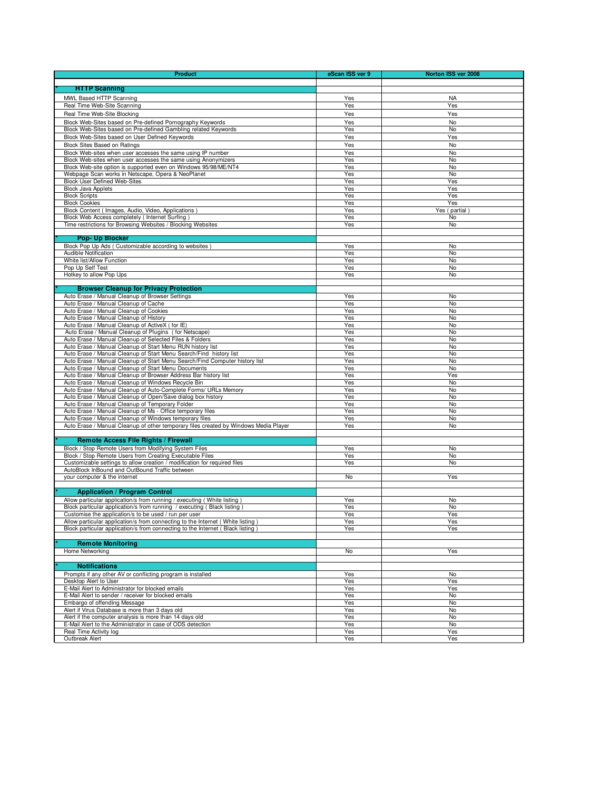| <b>Product</b>                                                                                                                                       | eScan ISS ver 9 | Norton ISS ver 2008 |
|------------------------------------------------------------------------------------------------------------------------------------------------------|-----------------|---------------------|
|                                                                                                                                                      |                 |                     |
| <b>HTTP Scanning</b>                                                                                                                                 |                 |                     |
| MWL Based HTTP Scanning                                                                                                                              | Yes             | <b>NA</b>           |
| Real Time Web-Site Scanning<br>Real Time Web-Site Blocking                                                                                           | Yes<br>Yes      | Yes<br>Yes          |
| Block Web-Sites based on Pre-defined Pornography Keywords                                                                                            | Yes             | No                  |
| Block Web-Sites based on Pre-defined Gambling related Keywords                                                                                       | Yes             | No                  |
| Block Web-Sites based on User Defined Keywords                                                                                                       | Yes             | Yes                 |
| <b>Block Sites Based on Ratings</b>                                                                                                                  | Yes             | No                  |
| Block Web-sites when user accesses the same using IP number                                                                                          | Yes             | No                  |
| Block Web-sites when user accesses the same using Anonymizers                                                                                        | Yes             | No                  |
| Block Web-site option is supported even on Windows 95/98/ME/NT4                                                                                      | Yes             | No                  |
| Webpage Scan works in Netscape, Opera & NeoPlanet<br><b>Block User Defined Web-Sites</b>                                                             | Yes             | No                  |
| <b>Block Java Applets</b>                                                                                                                            | Yes<br>Yes      | Yes<br>Yes          |
| <b>Block Scripts</b>                                                                                                                                 | Yes             | Yes                 |
| <b>Block Cookies</b>                                                                                                                                 | Yes             | Yes                 |
| Block Content ( Images, Audio, Video, Applications )                                                                                                 | Yes             | Yes (partial        |
| Block Web Access completely ( Internet Surfing )                                                                                                     | Yes             | No                  |
| Time restrictions for Browsing Websites / Blocking Websites                                                                                          | Yes             | No                  |
| <b>Pop- Up Blocker</b>                                                                                                                               |                 |                     |
| Block Pop Up Ads (Customizable according to websites)                                                                                                | Yes             | No                  |
| Audible Notification                                                                                                                                 | Yes             | No                  |
| White list/Allow Function                                                                                                                            | Yes             | No                  |
| Pop Up Self Test                                                                                                                                     | Yes             | No                  |
| Hotkey to allow Pop Ups                                                                                                                              | Yes             | No                  |
|                                                                                                                                                      |                 |                     |
| <b>Browser Cleanup for Privacy Protection</b><br>Auto Erase / Manual Cleanup of Browser Settings                                                     | Yes             | No                  |
| Auto Erase / Manual Cleanup of Cache                                                                                                                 | Yes             | No                  |
| Auto Erase / Manual Cleanup of Cookies                                                                                                               | Yes             | No                  |
| Auto Erase / Manual Cleanup of History                                                                                                               | Yes             | No                  |
| Auto Erase / Manual Cleanup of ActiveX ( for IE)                                                                                                     | Yes             | No                  |
| Auto Erase / Manual Cleanup of Plugins (for Netscape)                                                                                                | Yes             | No                  |
| Auto Erase / Manual Cleanup of Selected Files & Folders                                                                                              | Yes             | No                  |
| Auto Erase / Manual Cleanup of Start Menu RUN history list                                                                                           | Yes             | No                  |
| Auto Erase / Manual Cleanup of Start Menu Search/Find history list                                                                                   | Yes             | No                  |
| Auto Erase / Manual Cleanup of Start Menu Search/Find Computer history list<br>Auto Erase / Manual Cleanup of Start Menu Documents                   | Yes<br>Yes      | No<br>No            |
| Auto Erase / Manual Cleanup of Browser Address Bar history list                                                                                      | Yes             | Yes                 |
| Auto Erase / Manual Cleanup of Windows Recycle Bin                                                                                                   | Yes             | No                  |
| Auto Erase / Manual Cleanup of Auto-Complete Forms/ URLs Memory                                                                                      | Yes             | No                  |
| Auto Erase / Manual Cleanup of Open/Save dialog box history                                                                                          | Yes             | No                  |
| Auto Erase / Manual Cleanup of Temporary Folder                                                                                                      | Yes             | No                  |
| Auto Erase / Manual Cleanup of Ms - Office temporary files                                                                                           | Yes             | No                  |
| Auto Erase / Manual Cleanup of Windows temporary files                                                                                               | Yes             | No                  |
| Auto Erase / Manual Cleanup of other temporary files created by Windows Media Player                                                                 | Yes             | No                  |
| Remote Access File Rights / Firewall                                                                                                                 |                 |                     |
| Block / Stop Remote Users from Modifying System Files                                                                                                | Yes             | No                  |
| Block / Stop Remote Users from Creating Executable Files                                                                                             | Yes             | No                  |
| Customizable settings to allow creation / modification for required files                                                                            | Yes             | No                  |
| AutoBlock InBound and OutBound Traffic between                                                                                                       |                 |                     |
| your computer & the internet                                                                                                                         | No              | Yes                 |
|                                                                                                                                                      |                 |                     |
| <b>Application / Program Control</b>                                                                                                                 |                 |                     |
| Allow particular application/s from running / executing ( White listing )<br>Block particular application/s from running / executing (Black listing) | Yes<br>Yes      | No<br>No            |
| Customise the application/s to be used / run per user                                                                                                | Yes             | Yes                 |
| Allow particular application/s from connecting to the Internet (White listing)                                                                       | Yes             | Yes                 |
| Block particular application/s from connecting to the Internet (Black listing)                                                                       | Yes             | Yes                 |
|                                                                                                                                                      |                 |                     |
| <b>Remote Monitoring</b>                                                                                                                             |                 |                     |
| Home Networking                                                                                                                                      | No              | Yes                 |
| <b>Notifications</b>                                                                                                                                 |                 |                     |
| Prompts if any other AV or conflicting program is installed                                                                                          | Yes             | No                  |
| Desktop Alert to User                                                                                                                                | Yes             | Yes                 |
| E-Mail Alert to Administrator for blocked emails                                                                                                     | Yes             | Yes                 |
| E-Mail Alert to sender / receiver for blocked emails                                                                                                 | Yes             | No                  |
| Embargo of offending Message                                                                                                                         | Yes             | No                  |
| Alert if Virus Database is more than 3 days old                                                                                                      | Yes             | No                  |
| Alert if the computer analysis is more than 14 days old                                                                                              | Yes             | No                  |
| E-Mail Alert to the Administrator in case of ODS detection<br>Real Time Activity log                                                                 | Yes             | No                  |
| Outbreak Alert                                                                                                                                       | Yes<br>Yes      | Yes<br>Yes          |
|                                                                                                                                                      |                 |                     |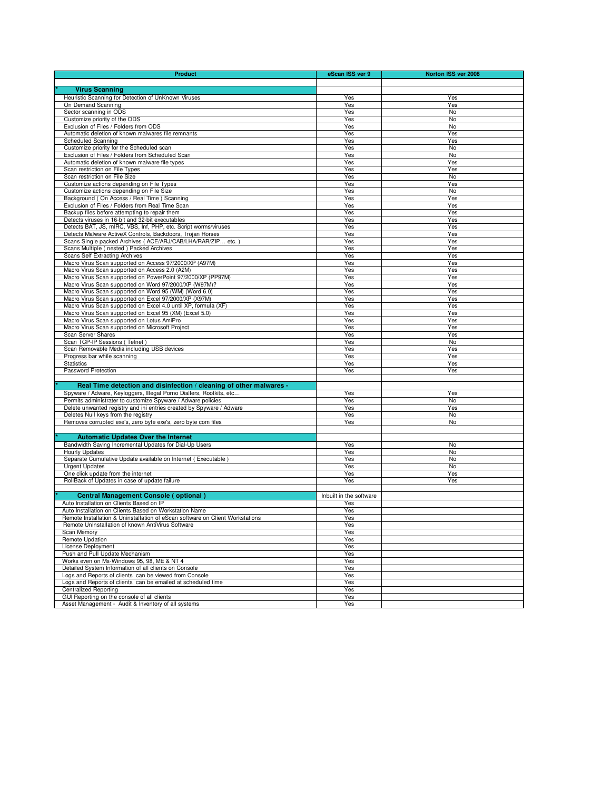| <b>Product</b>                                                                                                       | eScan ISS ver 9         | Norton ISS ver 2008 |
|----------------------------------------------------------------------------------------------------------------------|-------------------------|---------------------|
|                                                                                                                      |                         |                     |
| <b>Virus Scanning</b>                                                                                                |                         |                     |
| Heuristic Scanning for Detection of UnKnown Viruses                                                                  | Yes                     | Yes                 |
| On Demand Scanning                                                                                                   | Yes                     | Yes                 |
| Sector scanning in ODS<br>Customize priority of the ODS                                                              | Yes<br>Yes              | No<br>No            |
| Exclusion of Files / Folders from ODS                                                                                | Yes                     | No                  |
| Automatic deletion of known malwares file remnants                                                                   | Yes                     | Yes                 |
| Scheduled Scanning                                                                                                   | Yes                     | Yes                 |
| Customize priority for the Scheduled scan                                                                            | Yes                     | No                  |
| Exclusion of Files / Folders from Scheduled Scan                                                                     | Yes                     | No                  |
| Automatic deletion of known malware file types                                                                       | Yes                     | Yes                 |
| Scan restriction on File Types                                                                                       | Yes                     | Yes                 |
| Scan restriction on File Size                                                                                        | Yes                     | No                  |
| Customize actions depending on File Types                                                                            | Yes                     | Yes                 |
| Customize actions depending on File Size                                                                             | Yes                     | No                  |
| Background (On Access / Real Time) Scanning<br>Exclusion of Files / Folders from Real Time Scan                      | Yes<br>Yes              | Yes<br>Yes          |
| Backup files before attempting to repair them                                                                        | Yes                     | Yes                 |
| Detects viruses in 16-bit and 32-bit executables                                                                     | Yes                     | Yes                 |
| Detects BAT, JS, mIRC, VBS, Inf, PHP, etc. Script worms/viruses                                                      | Yes                     | Yes                 |
| Detects Malware ActiveX Controls, Backdoors, Trojan Horses                                                           | Yes                     | Yes                 |
| Scans Single packed Archives (ACE/ARJ/CAB/LHA/RAR/ZIP etc.                                                           | Yes                     | Yes                 |
| Scans Multiple ( nested ) Packed Archives                                                                            | Yes                     | Yes                 |
| Scans Self Extracting Archives                                                                                       | Yes                     | Yes                 |
| Macro Virus Scan supported on Access 97/2000/XP (A97M)                                                               | Yes                     | Yes                 |
| Macro Virus Scan supported on Access 2.0 (A2M)                                                                       | Yes                     | Yes                 |
| Macro Virus Scan supported on PowerPoint 97/2000/XP (PP97M)<br>Macro Virus Scan supported on Word 97/2000/XP (W97M)? | Yes<br>Yes              | Yes<br>Yes          |
| Macro Virus Scan supported on Word 95 (WM) (Word 6.0)                                                                | Yes                     | Yes                 |
| Macro Virus Scan supported on Excel 97/2000/XP (X97M)                                                                | Yes                     | Yes                 |
| Macro Virus Scan supported on Excel 4.0 until XP, formula (XF)                                                       | Yes                     | Yes                 |
| Macro Virus Scan supported on Excel 95 (XM) (Excel 5.0)                                                              | Yes                     | Yes                 |
| Macro Virus Scan supported on Lotus AmiPro                                                                           | Yes                     | Yes                 |
| Macro Virus Scan supported on Microsoft Project                                                                      | Yes                     | Yes                 |
| Scan Server Shares                                                                                                   | Yes                     | Yes                 |
| Scan TCP-IP Sessions (Telnet)                                                                                        | Yes                     | No                  |
| Scan Removable Media including USB devices                                                                           | Yes<br>Yes              | Yes<br>Yes          |
| Progress bar while scanning<br><b>Statistics</b>                                                                     | Yes                     | Yes                 |
| Password Protection                                                                                                  | Yes                     | Yes                 |
|                                                                                                                      |                         |                     |
| Real Time detection and disinfection / cleaning of other malwares -                                                  |                         |                     |
| Spyware / Adware, Keyloggers, Illegal Porno Diallers, Rootkits, etc                                                  | Yes                     | Yes                 |
| Permits administrater to customize Spyware / Adware policies                                                         | Yes                     | No                  |
| Delete unwanted registry and ini entries created by Spyware / Adware                                                 | Yes                     | Yes                 |
| Deletes Null keys from the registry                                                                                  | Yes                     | No                  |
| Removes corrupted exe's, zero byte exe's, zero byte com files                                                        | Yes                     | No                  |
|                                                                                                                      |                         |                     |
| <b>Automatic Updates Over the Internet</b>                                                                           |                         |                     |
| Bandwidth Saving Incremental Updates for Dial-Up Users                                                               | Yes                     | No                  |
| <b>Hourly Updates</b><br>Separate Cumulative Update available on Internet (Executable)                               | Yes<br>Yes              | No<br>No            |
| <b>Urgent Updates</b>                                                                                                | Yes                     | No                  |
| One click update from the internet                                                                                   | Yes                     | Yes                 |
| RollBack of Updates in case of update failure                                                                        | Yes                     | Yes                 |
|                                                                                                                      |                         |                     |
| Central Management Console (optional                                                                                 | Inbuilt in the software |                     |
| Auto Installation on Clients Based on IP                                                                             | Yes                     |                     |
| Auto Installation on Clients Based on Workstation Name                                                               | Yes                     |                     |
| Remote Installation & Uninstallation of eScan software on Client Workstations                                        | Yes                     |                     |
| Remote UnInstallation of known AntiVirus Software                                                                    | Yes                     |                     |
| Scan Memory                                                                                                          | Yes                     |                     |
| Remote Updation                                                                                                      | Yes                     |                     |
| License Deployment<br>Push and Pull Update Mechanism                                                                 | Yes<br>Yes              |                     |
| Works even on Ms-Windows 95, 98, ME & NT 4                                                                           | Yes                     |                     |
| Detailed System Information of all clients on Console                                                                | Yes                     |                     |
| Logs and Reports of clients can be viewed from Console                                                               | Yes                     |                     |
| Logs and Reports of clients can be emailed at scheduled time                                                         | Yes                     |                     |
| <b>Centralized Reporting</b>                                                                                         | Yes                     |                     |
| GUI Reporting on the console of all clients                                                                          | Yes                     |                     |
| Asset Management - Audit & Inventory of all systems                                                                  | Yes                     |                     |